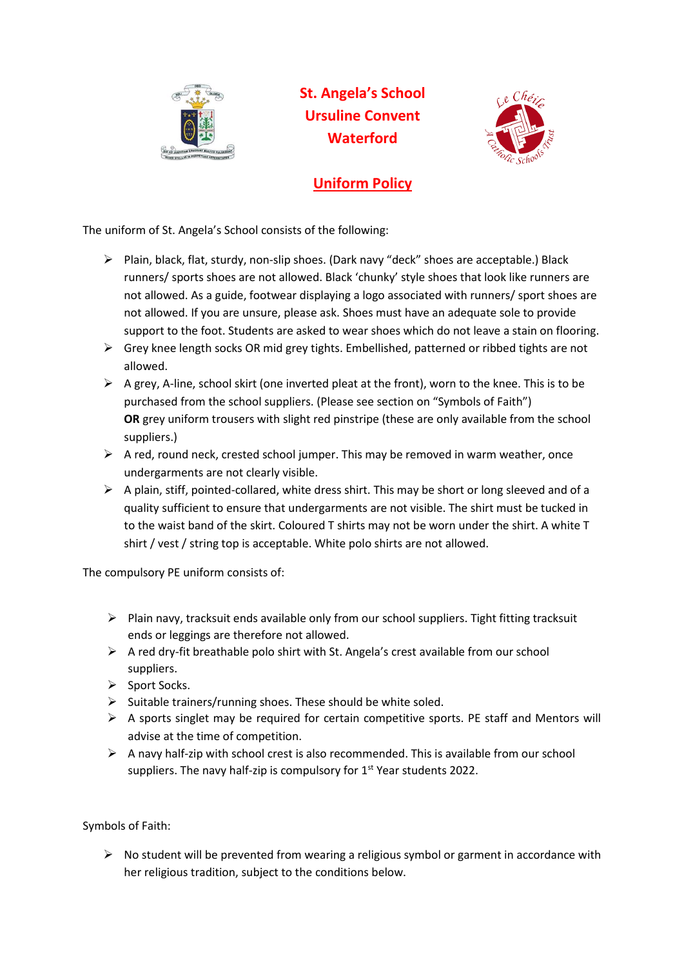

**St. Angela's School Ursuline Convent Waterford**



## **Uniform Policy**

The uniform of St. Angela's School consists of the following:

- ➢ Plain, black, flat, sturdy, non-slip shoes. (Dark navy "deck" shoes are acceptable.) Black runners/ sports shoes are not allowed. Black 'chunky' style shoes that look like runners are not allowed. As a guide, footwear displaying a logo associated with runners/ sport shoes are not allowed. If you are unsure, please ask. Shoes must have an adequate sole to provide support to the foot. Students are asked to wear shoes which do not leave a stain on flooring.
- ➢ Grey knee length socks OR mid grey tights. Embellished, patterned or ribbed tights are not allowed.
- $\triangleright$  A grey, A-line, school skirt (one inverted pleat at the front), worn to the knee. This is to be purchased from the school suppliers. (Please see section on "Symbols of Faith") **OR** grey uniform trousers with slight red pinstripe (these are only available from the school suppliers.)
- $\triangleright$  A red, round neck, crested school jumper. This may be removed in warm weather, once undergarments are not clearly visible.
- $\triangleright$  A plain, stiff, pointed-collared, white dress shirt. This may be short or long sleeved and of a quality sufficient to ensure that undergarments are not visible. The shirt must be tucked in to the waist band of the skirt. Coloured T shirts may not be worn under the shirt. A white T shirt / vest / string top is acceptable. White polo shirts are not allowed.

The compulsory PE uniform consists of:

- $\triangleright$  Plain navy, tracksuit ends available only from our school suppliers. Tight fitting tracksuit ends or leggings are therefore not allowed.
- $\triangleright$  A red dry-fit breathable polo shirt with St. Angela's crest available from our school suppliers.
- ➢ Sport Socks.
- $\triangleright$  Suitable trainers/running shoes. These should be white soled.
- $\triangleright$  A sports singlet may be required for certain competitive sports. PE staff and Mentors will advise at the time of competition.
- $\triangleright$  A navy half-zip with school crest is also recommended. This is available from our school suppliers. The navy half-zip is compulsory for 1<sup>st</sup> Year students 2022.

Symbols of Faith:

 $\triangleright$  No student will be prevented from wearing a religious symbol or garment in accordance with her religious tradition, subject to the conditions below.